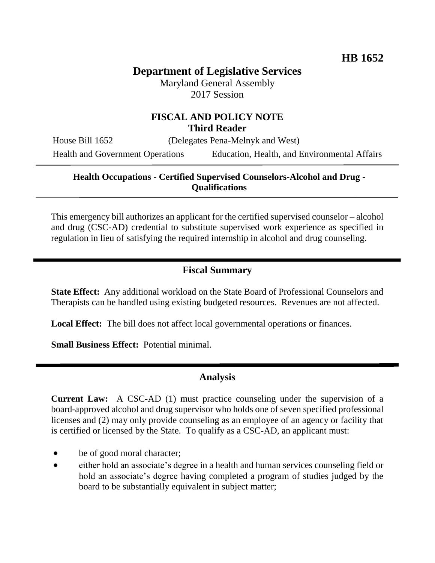# **Department of Legislative Services**

Maryland General Assembly 2017 Session

## **FISCAL AND POLICY NOTE Third Reader**

House Bill 1652 (Delegates Pena-Melnyk and West) Health and Government Operations Education, Health, and Environmental Affairs

#### **Health Occupations - Certified Supervised Counselors-Alcohol and Drug - Qualifications**

This emergency bill authorizes an applicant for the certified supervised counselor – alcohol and drug (CSC-AD) credential to substitute supervised work experience as specified in regulation in lieu of satisfying the required internship in alcohol and drug counseling.

### **Fiscal Summary**

**State Effect:** Any additional workload on the State Board of Professional Counselors and Therapists can be handled using existing budgeted resources. Revenues are not affected.

**Local Effect:** The bill does not affect local governmental operations or finances.

**Small Business Effect:** Potential minimal.

#### **Analysis**

**Current Law:** A CSC-AD (1) must practice counseling under the supervision of a board-approved alcohol and drug supervisor who holds one of seven specified professional licenses and (2) may only provide counseling as an employee of an agency or facility that is certified or licensed by the State. To qualify as a CSC-AD, an applicant must:

- be of good moral character;
- either hold an associate's degree in a health and human services counseling field or hold an associate's degree having completed a program of studies judged by the board to be substantially equivalent in subject matter;